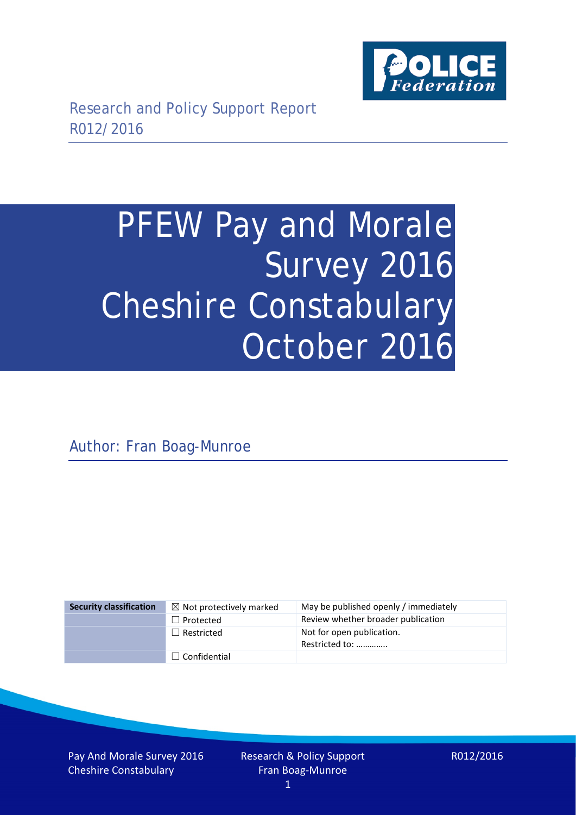

# PFEW Pay and Morale Survey 2016 Cheshire Constabulary October 2016

Author: Fran Boag-Munroe

| <b>Security classification</b> | $\boxtimes$ Not protectively marked | May be published openly / immediately       |
|--------------------------------|-------------------------------------|---------------------------------------------|
|                                | $\Box$ Protected                    | Review whether broader publication          |
|                                | $\Box$ Restricted                   | Not for open publication.<br>Restricted to: |
|                                | $\Box$ Confidential                 |                                             |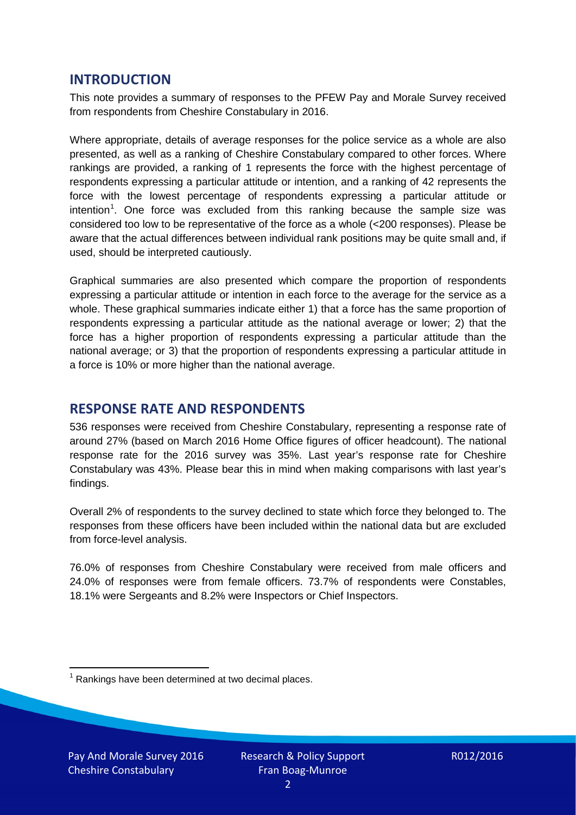## **INTRODUCTION**

This note provides a summary of responses to the PFEW Pay and Morale Survey received from respondents from Cheshire Constabulary in 2016.

Where appropriate, details of average responses for the police service as a whole are also presented, as well as a ranking of Cheshire Constabulary compared to other forces. Where rankings are provided, a ranking of 1 represents the force with the highest percentage of respondents expressing a particular attitude or intention, and a ranking of 42 represents the force with the lowest percentage of respondents expressing a particular attitude or intention<sup>[1](#page-1-0)</sup>. One force was excluded from this ranking because the sample size was considered too low to be representative of the force as a whole (<200 responses). Please be aware that the actual differences between individual rank positions may be quite small and, if used, should be interpreted cautiously.

Graphical summaries are also presented which compare the proportion of respondents expressing a particular attitude or intention in each force to the average for the service as a whole. These graphical summaries indicate either 1) that a force has the same proportion of respondents expressing a particular attitude as the national average or lower; 2) that the force has a higher proportion of respondents expressing a particular attitude than the national average; or 3) that the proportion of respondents expressing a particular attitude in a force is 10% or more higher than the national average.

# **RESPONSE RATE AND RESPONDENTS**

536 responses were received from Cheshire Constabulary, representing a response rate of around 27% (based on March 2016 Home Office figures of officer headcount). The national response rate for the 2016 survey was 35%. Last year's response rate for Cheshire Constabulary was 43%. Please bear this in mind when making comparisons with last year's findings.

Overall 2% of respondents to the survey declined to state which force they belonged to. The responses from these officers have been included within the national data but are excluded from force-level analysis.

76.0% of responses from Cheshire Constabulary were received from male officers and 24.0% of responses were from female officers. 73.7% of respondents were Constables, 18.1% were Sergeants and 8.2% were Inspectors or Chief Inspectors.

<span id="page-1-0"></span> $1$  Rankings have been determined at two decimal places.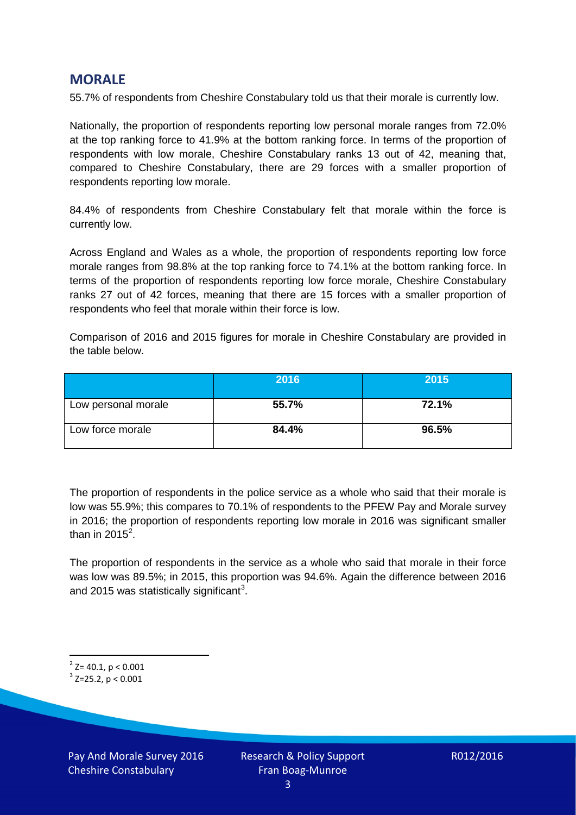## **MORALE**

55.7% of respondents from Cheshire Constabulary told us that their morale is currently low.

Nationally, the proportion of respondents reporting low personal morale ranges from 72.0% at the top ranking force to 41.9% at the bottom ranking force. In terms of the proportion of respondents with low morale, Cheshire Constabulary ranks 13 out of 42, meaning that, compared to Cheshire Constabulary, there are 29 forces with a smaller proportion of respondents reporting low morale.

84.4% of respondents from Cheshire Constabulary felt that morale within the force is currently low.

Across England and Wales as a whole, the proportion of respondents reporting low force morale ranges from 98.8% at the top ranking force to 74.1% at the bottom ranking force. In terms of the proportion of respondents reporting low force morale, Cheshire Constabulary ranks 27 out of 42 forces, meaning that there are 15 forces with a smaller proportion of respondents who feel that morale within their force is low.

Comparison of 2016 and 2015 figures for morale in Cheshire Constabulary are provided in the table below.

|                     | 2016  | 2015  |
|---------------------|-------|-------|
| Low personal morale | 55.7% | 72.1% |
| Low force morale    | 84.4% | 96.5% |

The proportion of respondents in the police service as a whole who said that their morale is low was 55.9%; this compares to 70.1% of respondents to the PFEW Pay and Morale survey in 2016; the proportion of respondents reporting low morale in 2016 was significant smaller than in [2](#page-2-0)015 $^2$ .

The proportion of respondents in the service as a whole who said that morale in their force was low was 89.5%; in 2015, this proportion was 94.6%. Again the difference between 2016 and 2015 was statistically significant<sup>[3](#page-2-1)</sup>.

<span id="page-2-0"></span> $2$ <sup>2</sup> Z= 40.1, p < 0.001

<span id="page-2-1"></span> $3$  Z=25.2, p < 0.001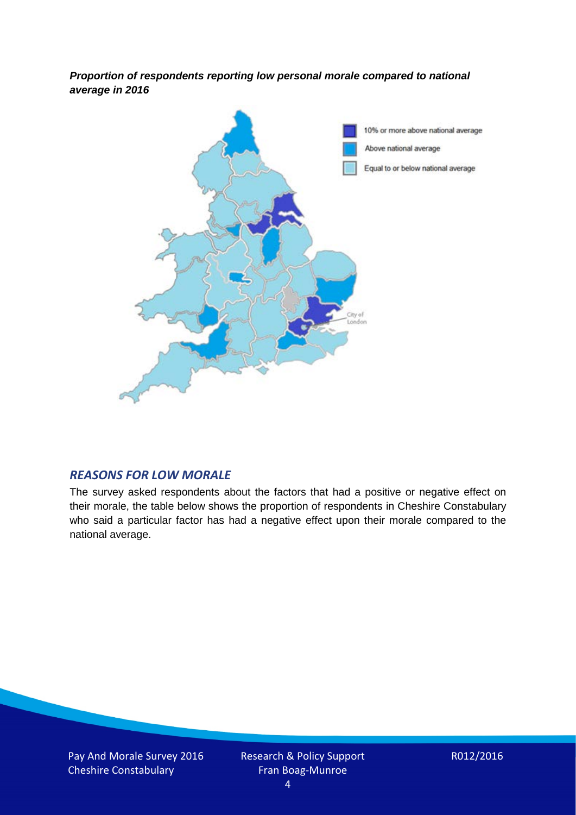*Proportion of respondents reporting low personal morale compared to national average in 2016*



#### *REASONS FOR LOW MORALE*

The survey asked respondents about the factors that had a positive or negative effect on their morale, the table below shows the proportion of respondents in Cheshire Constabulary who said a particular factor has had a negative effect upon their morale compared to the national average.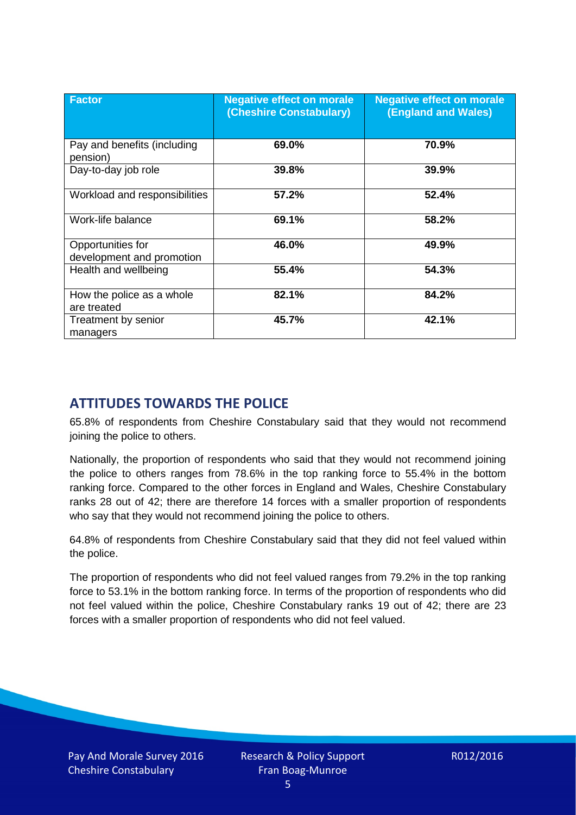| <b>Factor</b>                                  | <b>Negative effect on morale</b><br>(Cheshire Constabulary) | <b>Negative effect on morale</b><br><b>(England and Wales)</b> |
|------------------------------------------------|-------------------------------------------------------------|----------------------------------------------------------------|
| Pay and benefits (including<br>pension)        | 69.0%                                                       | 70.9%                                                          |
| Day-to-day job role                            | 39.8%                                                       | 39.9%                                                          |
| Workload and responsibilities                  | 57.2%                                                       | 52.4%                                                          |
| Work-life balance                              | 69.1%                                                       | 58.2%                                                          |
| Opportunities for<br>development and promotion | 46.0%                                                       | 49.9%                                                          |
| Health and wellbeing                           | 55.4%                                                       | 54.3%                                                          |
| How the police as a whole<br>are treated       | 82.1%                                                       | 84.2%                                                          |
| Treatment by senior<br>managers                | 45.7%                                                       | 42.1%                                                          |

# **ATTITUDES TOWARDS THE POLICE**

65.8% of respondents from Cheshire Constabulary said that they would not recommend joining the police to others.

Nationally, the proportion of respondents who said that they would not recommend joining the police to others ranges from 78.6% in the top ranking force to 55.4% in the bottom ranking force. Compared to the other forces in England and Wales, Cheshire Constabulary ranks 28 out of 42; there are therefore 14 forces with a smaller proportion of respondents who say that they would not recommend joining the police to others.

64.8% of respondents from Cheshire Constabulary said that they did not feel valued within the police.

The proportion of respondents who did not feel valued ranges from 79.2% in the top ranking force to 53.1% in the bottom ranking force. In terms of the proportion of respondents who did not feel valued within the police, Cheshire Constabulary ranks 19 out of 42; there are 23 forces with a smaller proportion of respondents who did not feel valued.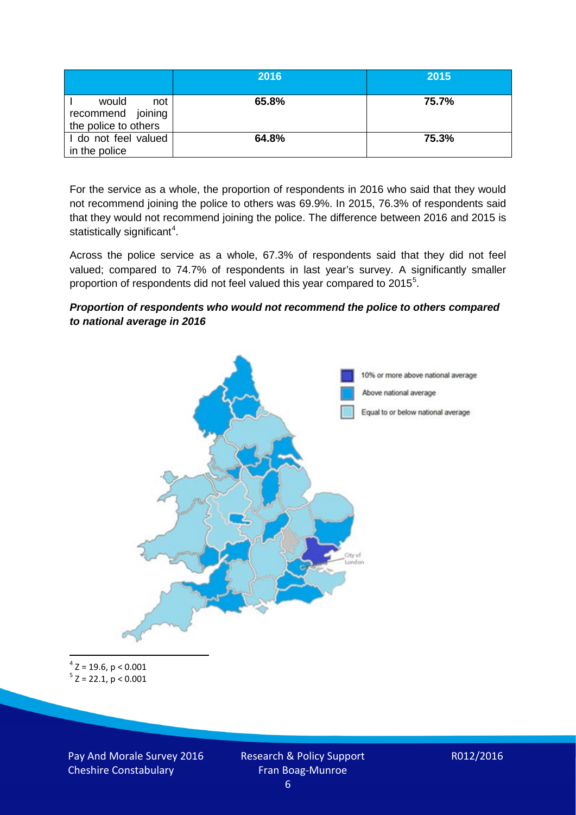|                                                           | 2016  | 2015  |
|-----------------------------------------------------------|-------|-------|
| would<br>not<br>recommend joining<br>the police to others | 65.8% | 75.7% |
| I do not feel valued<br>in the police                     | 64.8% | 75.3% |

For the service as a whole, the proportion of respondents in 2016 who said that they would not recommend joining the police to others was 69.9%. In 2015, 76.3% of respondents said that they would not recommend joining the police. The difference between 2016 and 2015 is statistically significant<sup>[4](#page-5-0)</sup>.

Across the police service as a whole, 67.3% of respondents said that they did not feel valued; compared to 74.7% of respondents in last year's survey. A significantly smaller proportion of respondents did not feel valued this year compared to 201[5](#page-5-1)<sup>5</sup>.

#### *Proportion of respondents who would not recommend the police to others compared to national average in 2016*



<span id="page-5-1"></span><span id="page-5-0"></span> $4$  Z = 19.6, p < 0.001  $5$  Z = 22.1, p < 0.001

Pay And Morale Survey 2016 Cheshire Constabulary

Research & Policy Support Fran Boag-Munroe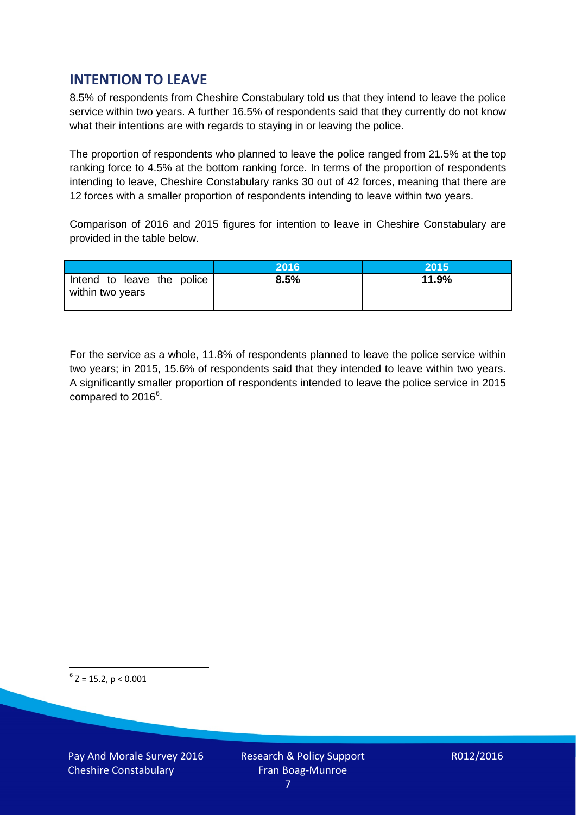# **INTENTION TO LEAVE**

8.5% of respondents from Cheshire Constabulary told us that they intend to leave the police service within two years. A further 16.5% of respondents said that they currently do not know what their intentions are with regards to staying in or leaving the police.

The proportion of respondents who planned to leave the police ranged from 21.5% at the top ranking force to 4.5% at the bottom ranking force. In terms of the proportion of respondents intending to leave, Cheshire Constabulary ranks 30 out of 42 forces, meaning that there are 12 forces with a smaller proportion of respondents intending to leave within two years.

Comparison of 2016 and 2015 figures for intention to leave in Cheshire Constabulary are provided in the table below.

|                                                | 2016 | <b>2015</b> |
|------------------------------------------------|------|-------------|
| Intend to leave the police<br>within two years | 8.5% | 11.9%       |

For the service as a whole, 11.8% of respondents planned to leave the police service within two years; in 2015, 15.6% of respondents said that they intended to leave within two years. A significantly smaller proportion of respondents intended to leave the police service in 2015 compared to 201[6](#page-6-0)<sup>6</sup>.

<span id="page-6-0"></span> $6$  Z = 15.2, p < 0.001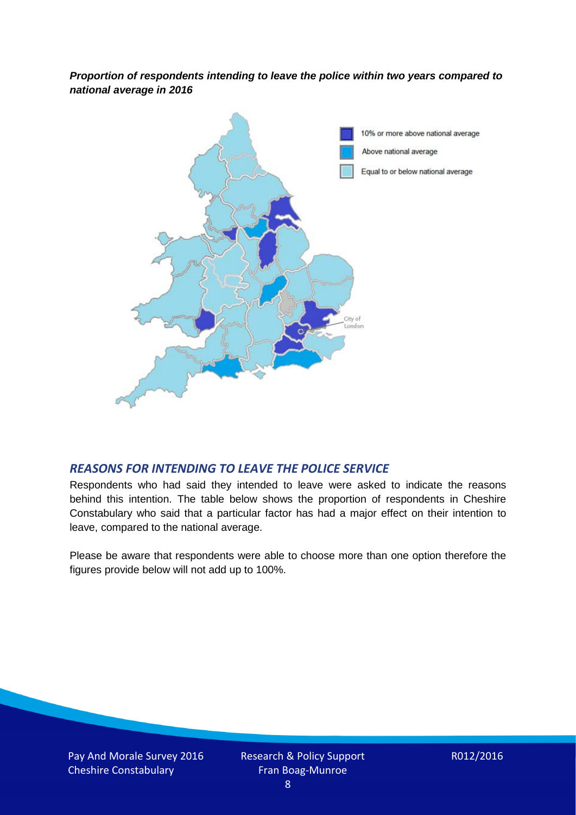*Proportion of respondents intending to leave the police within two years compared to national average in 2016*



#### *REASONS FOR INTENDING TO LEAVE THE POLICE SERVICE*

Respondents who had said they intended to leave were asked to indicate the reasons behind this intention. The table below shows the proportion of respondents in Cheshire Constabulary who said that a particular factor has had a major effect on their intention to leave, compared to the national average.

Please be aware that respondents were able to choose more than one option therefore the figures provide below will not add up to 100%.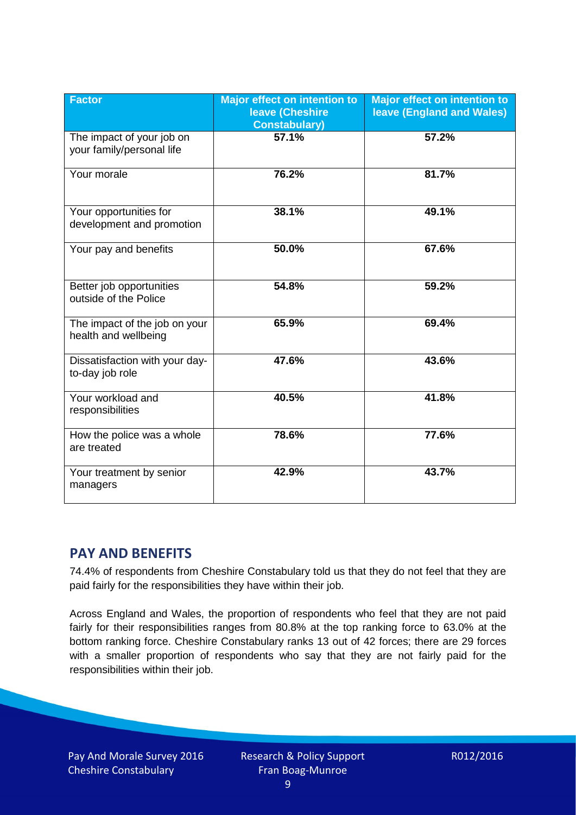| <b>Factor</b>                                          | <b>Major effect on intention to</b><br><b>leave (Cheshire)</b><br><b>Constabulary)</b> | <b>Major effect on intention to</b><br><b>leave (England and Wales)</b> |
|--------------------------------------------------------|----------------------------------------------------------------------------------------|-------------------------------------------------------------------------|
| The impact of your job on<br>your family/personal life | 57.1%                                                                                  | 57.2%                                                                   |
| Your morale                                            | 76.2%                                                                                  | 81.7%                                                                   |
| Your opportunities for<br>development and promotion    | 38.1%                                                                                  | 49.1%                                                                   |
| Your pay and benefits                                  | 50.0%                                                                                  | 67.6%                                                                   |
| Better job opportunities<br>outside of the Police      | 54.8%                                                                                  | 59.2%                                                                   |
| The impact of the job on your<br>health and wellbeing  | 65.9%                                                                                  | 69.4%                                                                   |
| Dissatisfaction with your day-<br>to-day job role      | 47.6%                                                                                  | 43.6%                                                                   |
| Your workload and<br>responsibilities                  | 40.5%                                                                                  | 41.8%                                                                   |
| How the police was a whole<br>are treated              | 78.6%                                                                                  | 77.6%                                                                   |
| Your treatment by senior<br>managers                   | 42.9%                                                                                  | 43.7%                                                                   |

# **PAY AND BENEFITS**

74.4% of respondents from Cheshire Constabulary told us that they do not feel that they are paid fairly for the responsibilities they have within their job.

Across England and Wales, the proportion of respondents who feel that they are not paid fairly for their responsibilities ranges from 80.8% at the top ranking force to 63.0% at the bottom ranking force. Cheshire Constabulary ranks 13 out of 42 forces; there are 29 forces with a smaller proportion of respondents who say that they are not fairly paid for the responsibilities within their job.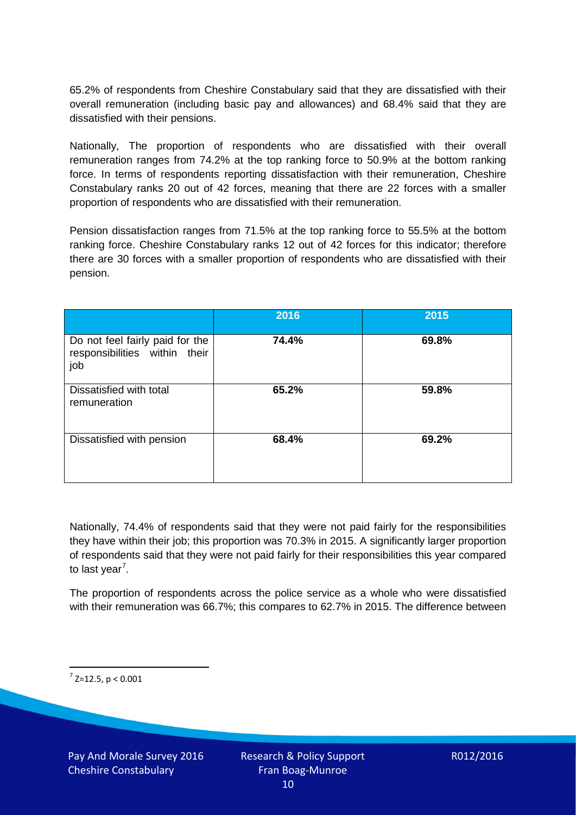65.2% of respondents from Cheshire Constabulary said that they are dissatisfied with their overall remuneration (including basic pay and allowances) and 68.4% said that they are dissatisfied with their pensions.

Nationally, The proportion of respondents who are dissatisfied with their overall remuneration ranges from 74.2% at the top ranking force to 50.9% at the bottom ranking force. In terms of respondents reporting dissatisfaction with their remuneration, Cheshire Constabulary ranks 20 out of 42 forces, meaning that there are 22 forces with a smaller proportion of respondents who are dissatisfied with their remuneration.

Pension dissatisfaction ranges from 71.5% at the top ranking force to 55.5% at the bottom ranking force. Cheshire Constabulary ranks 12 out of 42 forces for this indicator; therefore there are 30 forces with a smaller proportion of respondents who are dissatisfied with their pension.

|                                                                         | 2016  | 2015  |
|-------------------------------------------------------------------------|-------|-------|
| Do not feel fairly paid for the<br>responsibilities within their<br>job | 74.4% | 69.8% |
| Dissatisfied with total<br>remuneration                                 | 65.2% | 59.8% |
| Dissatisfied with pension                                               | 68.4% | 69.2% |

Nationally, 74.4% of respondents said that they were not paid fairly for the responsibilities they have within their job; this proportion was 70.3% in 2015. A significantly larger proportion of respondents said that they were not paid fairly for their responsibilities this year compared to last year<sup>[7](#page-9-0)</sup>.

The proportion of respondents across the police service as a whole who were dissatisfied with their remuneration was 66.7%; this compares to 62.7% in 2015. The difference between

<span id="page-9-0"></span> $7$  Z=12.5, p < 0.001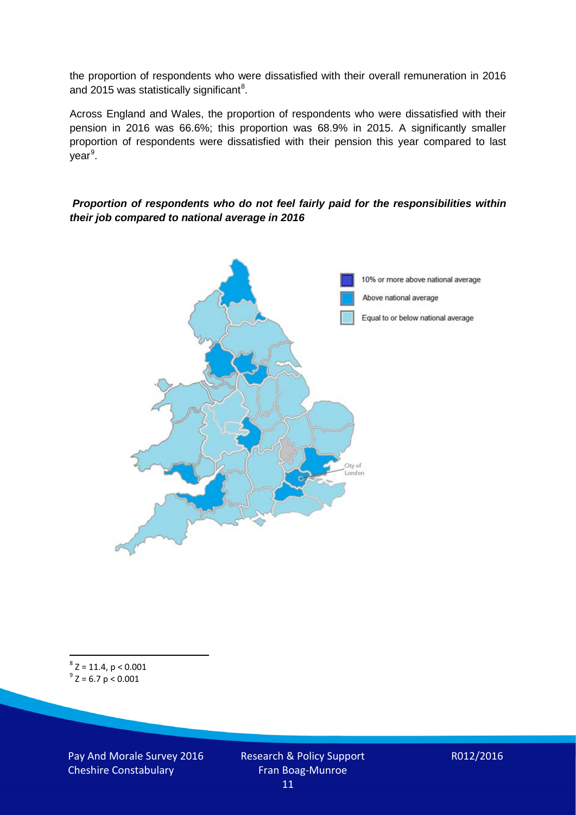the proportion of respondents who were dissatisfied with their overall remuneration in 2016 and 2015 was statistically significant<sup>[8](#page-10-0)</sup>.

Across England and Wales, the proportion of respondents who were dissatisfied with their pension in 2016 was 66.6%; this proportion was 68.9% in 2015. A significantly smaller proportion of respondents were dissatisfied with their pension this year compared to last year<sup>[9](#page-10-1)</sup>.

#### *Proportion of respondents who do not feel fairly paid for the responsibilities within their job compared to national average in 2016*



<span id="page-10-1"></span><span id="page-10-0"></span> $8$  Z = 11.4, p < 0.001  $9^{\circ}$  Z = 6.7 p < 0.001

Pay And Morale Survey 2016 Cheshire Constabulary

Research & Policy Support Fran Boag-Munroe 11

R012/2016